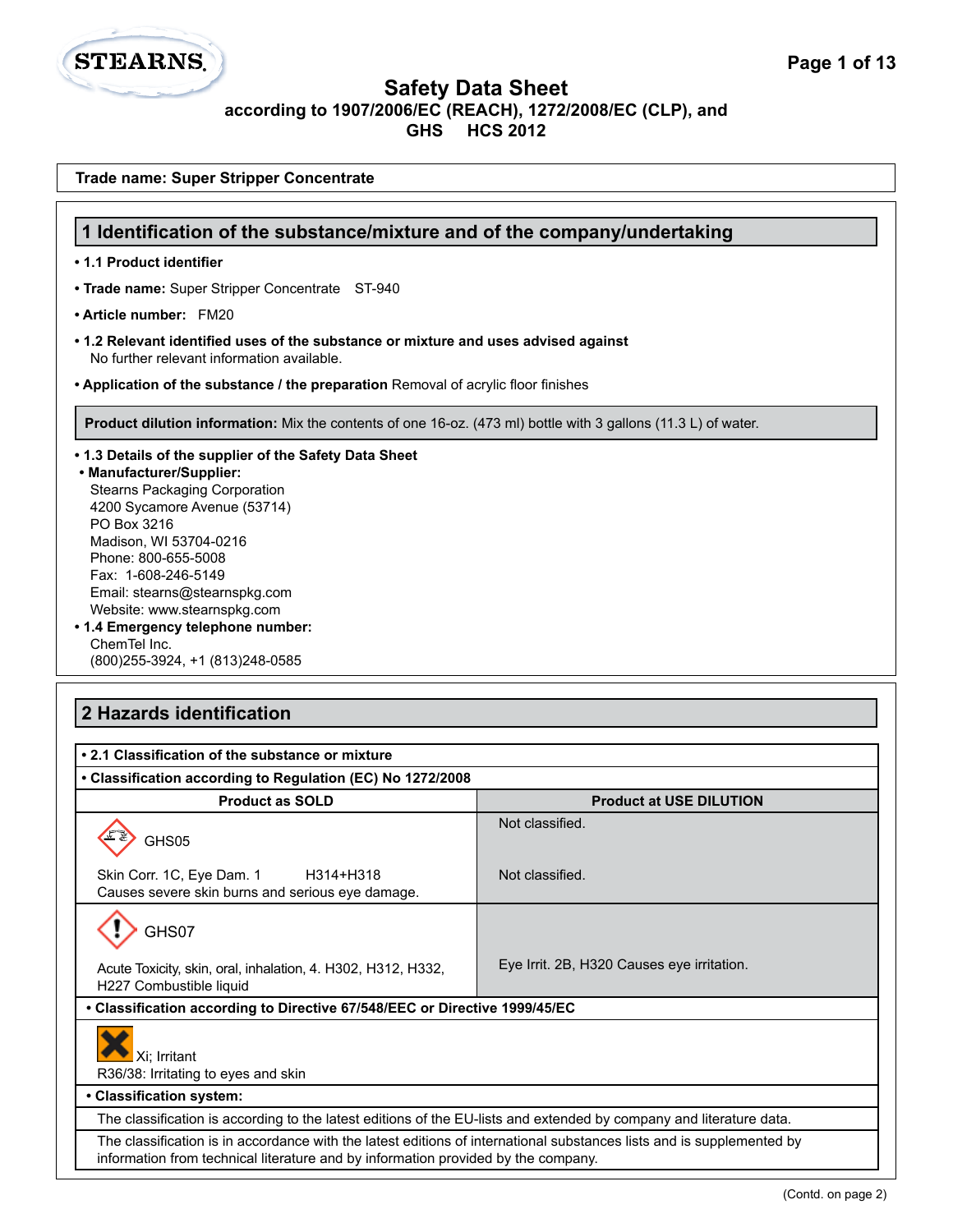**Trade name: Super Stripper Concentrate**

**STEARNS.** 

| 1 Identification of the substance/mixture and of the company/undertaking                                                                                                                                                                                                                                                                                                                                    |                                |  |
|-------------------------------------------------------------------------------------------------------------------------------------------------------------------------------------------------------------------------------------------------------------------------------------------------------------------------------------------------------------------------------------------------------------|--------------------------------|--|
| • 1.1 Product identifier                                                                                                                                                                                                                                                                                                                                                                                    |                                |  |
| • Trade name: Super Stripper Concentrate ST-940                                                                                                                                                                                                                                                                                                                                                             |                                |  |
| • Article number: FM20                                                                                                                                                                                                                                                                                                                                                                                      |                                |  |
| • 1.2 Relevant identified uses of the substance or mixture and uses advised against<br>No further relevant information available.                                                                                                                                                                                                                                                                           |                                |  |
| • Application of the substance / the preparation Removal of acrylic floor finishes                                                                                                                                                                                                                                                                                                                          |                                |  |
| Product dilution information: Mix the contents of one 16-oz. (473 ml) bottle with 3 gallons (11.3 L) of water.                                                                                                                                                                                                                                                                                              |                                |  |
| . 1.3 Details of the supplier of the Safety Data Sheet<br>• Manufacturer/Supplier:<br><b>Stearns Packaging Corporation</b><br>4200 Sycamore Avenue (53714)<br>PO Box 3216<br>Madison, WI 53704-0216<br>Phone: 800-655-5008<br>Fax: 1-608-246-5149<br>Email: stearns@stearnspkg.com<br>Website: www.stearnspkg.com<br>• 1.4 Emergency telephone number:<br>ChemTel Inc.<br>(800) 255-3924, +1 (813) 248-0585 |                                |  |
| 2 Hazards identification<br>• 2.1 Classification of the substance or mixture<br>• Classification according to Regulation (EC) No 1272/2008                                                                                                                                                                                                                                                                  |                                |  |
| <b>Product as SOLD</b>                                                                                                                                                                                                                                                                                                                                                                                      | <b>Product at USE DILUTION</b> |  |
| GHS05                                                                                                                                                                                                                                                                                                                                                                                                       | Not classified.                |  |
| Skin Corr. 1C, Eye Dam. 1<br>H314+H318<br>Causes severe skin burns and serious eye damage.                                                                                                                                                                                                                                                                                                                  | Not classified.                |  |
| ᄉ<br>GHS07                                                                                                                                                                                                                                                                                                                                                                                                  |                                |  |
| Eye Irrit. 2B, H320 Causes eye irritation.<br>Acute Toxicity, skin, oral, inhalation, 4. H302, H312, H332,<br>H227 Combustible liquid                                                                                                                                                                                                                                                                       |                                |  |
| • Classification according to Directive 67/548/EEC or Directive 1999/45/EC                                                                                                                                                                                                                                                                                                                                  |                                |  |
| Xi; Irritant<br>R36/38: Irritating to eyes and skin                                                                                                                                                                                                                                                                                                                                                         |                                |  |
| • Classification system:                                                                                                                                                                                                                                                                                                                                                                                    |                                |  |
| The classification is according to the latest editions of the EU-lists and extended by company and literature data.                                                                                                                                                                                                                                                                                         |                                |  |
| The classification is in accordance with the latest editions of international substances lists and is supplemented by<br>information from technical literature and by information provided by the company.                                                                                                                                                                                                  |                                |  |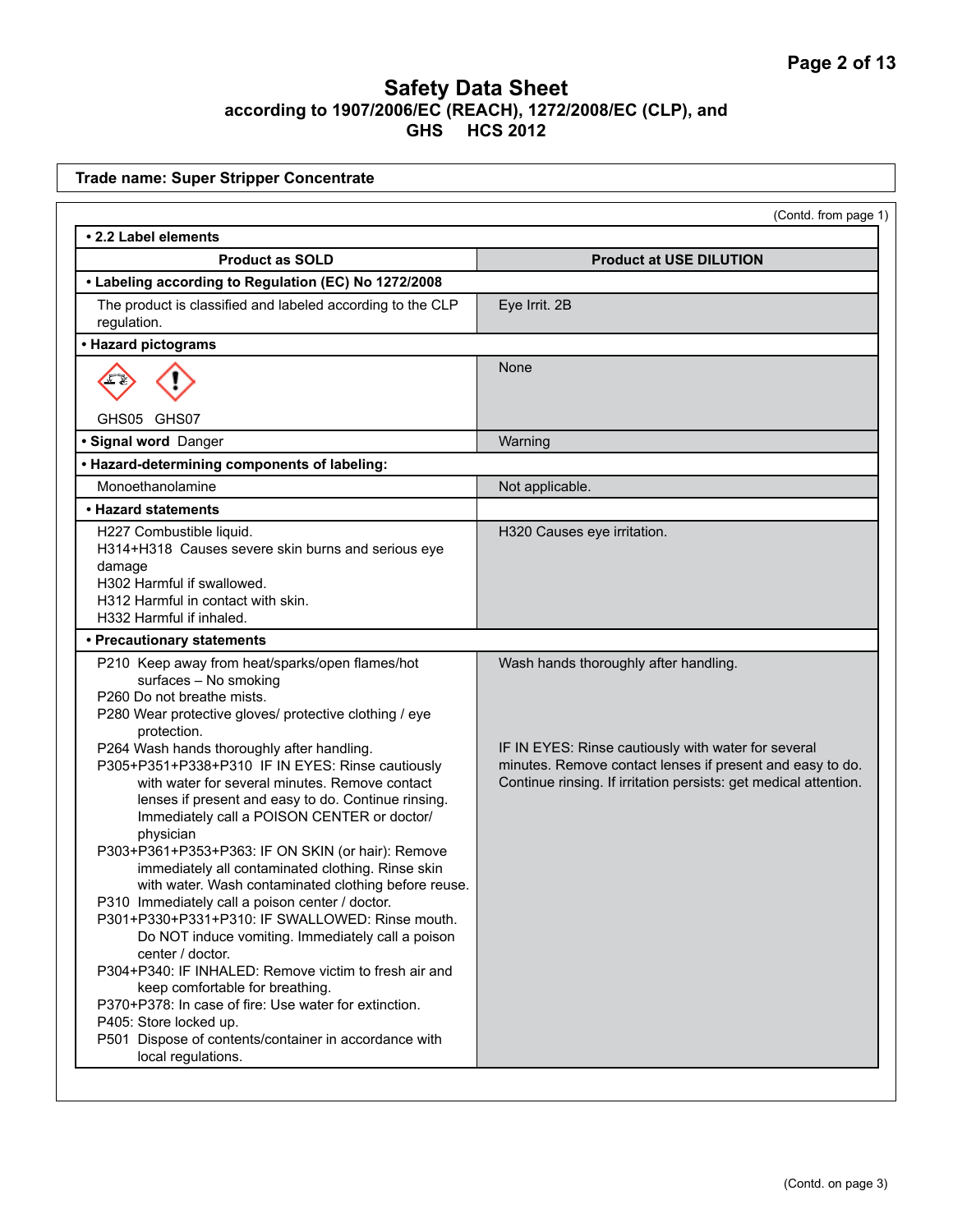| <b>Trade name: Super Stripper Concentrate</b>                                                                                                                                                                                                                                                                                                                                                                                                                                                                                                                                                                                                                                                                                                                                    |                                                                                                                                                           |
|----------------------------------------------------------------------------------------------------------------------------------------------------------------------------------------------------------------------------------------------------------------------------------------------------------------------------------------------------------------------------------------------------------------------------------------------------------------------------------------------------------------------------------------------------------------------------------------------------------------------------------------------------------------------------------------------------------------------------------------------------------------------------------|-----------------------------------------------------------------------------------------------------------------------------------------------------------|
|                                                                                                                                                                                                                                                                                                                                                                                                                                                                                                                                                                                                                                                                                                                                                                                  | (Contd. from page 1)                                                                                                                                      |
| • 2.2 Label elements                                                                                                                                                                                                                                                                                                                                                                                                                                                                                                                                                                                                                                                                                                                                                             |                                                                                                                                                           |
| <b>Product as SOLD</b>                                                                                                                                                                                                                                                                                                                                                                                                                                                                                                                                                                                                                                                                                                                                                           | <b>Product at USE DILUTION</b>                                                                                                                            |
| • Labeling according to Regulation (EC) No 1272/2008                                                                                                                                                                                                                                                                                                                                                                                                                                                                                                                                                                                                                                                                                                                             |                                                                                                                                                           |
| The product is classified and labeled according to the CLP<br>regulation.                                                                                                                                                                                                                                                                                                                                                                                                                                                                                                                                                                                                                                                                                                        | Eye Irrit. 2B                                                                                                                                             |
| • Hazard pictograms                                                                                                                                                                                                                                                                                                                                                                                                                                                                                                                                                                                                                                                                                                                                                              |                                                                                                                                                           |
|                                                                                                                                                                                                                                                                                                                                                                                                                                                                                                                                                                                                                                                                                                                                                                                  | None                                                                                                                                                      |
| GHS05 GHS07                                                                                                                                                                                                                                                                                                                                                                                                                                                                                                                                                                                                                                                                                                                                                                      |                                                                                                                                                           |
| · Signal word Danger                                                                                                                                                                                                                                                                                                                                                                                                                                                                                                                                                                                                                                                                                                                                                             | Warning                                                                                                                                                   |
| • Hazard-determining components of labeling:                                                                                                                                                                                                                                                                                                                                                                                                                                                                                                                                                                                                                                                                                                                                     |                                                                                                                                                           |
| Monoethanolamine                                                                                                                                                                                                                                                                                                                                                                                                                                                                                                                                                                                                                                                                                                                                                                 | Not applicable.                                                                                                                                           |
| • Hazard statements                                                                                                                                                                                                                                                                                                                                                                                                                                                                                                                                                                                                                                                                                                                                                              |                                                                                                                                                           |
| H227 Combustible liquid.<br>H314+H318 Causes severe skin burns and serious eye<br>damage<br>H302 Harmful if swallowed.<br>H312 Harmful in contact with skin.<br>H332 Harmful if inhaled.                                                                                                                                                                                                                                                                                                                                                                                                                                                                                                                                                                                         | H320 Causes eye irritation.                                                                                                                               |
| • Precautionary statements                                                                                                                                                                                                                                                                                                                                                                                                                                                                                                                                                                                                                                                                                                                                                       |                                                                                                                                                           |
| P210 Keep away from heat/sparks/open flames/hot<br>surfaces - No smoking<br>P260 Do not breathe mists.<br>P280 Wear protective gloves/ protective clothing / eye<br>protection.<br>P264 Wash hands thoroughly after handling.<br>P305+P351+P338+P310 IF IN EYES: Rinse cautiously                                                                                                                                                                                                                                                                                                                                                                                                                                                                                                | Wash hands thoroughly after handling.<br>IF IN EYES: Rinse cautiously with water for several<br>minutes. Remove contact lenses if present and easy to do. |
| with water for several minutes. Remove contact<br>lenses if present and easy to do. Continue rinsing.<br>Immediately call a POISON CENTER or doctor/<br>physician<br>P303+P361+P353+P363: IF ON SKIN (or hair): Remove<br>immediately all contaminated clothing. Rinse skin<br>with water. Wash contaminated clothing before reuse.<br>P310 Immediately call a poison center / doctor.<br>P301+P330+P331+P310: IF SWALLOWED: Rinse mouth.<br>Do NOT induce vomiting. Immediately call a poison<br>center / doctor.<br>P304+P340: IF INHALED: Remove victim to fresh air and<br>keep comfortable for breathing.<br>P370+P378: In case of fire: Use water for extinction.<br>P405: Store locked up.<br>P501 Dispose of contents/container in accordance with<br>local regulations. | Continue rinsing. If irritation persists: get medical attention.                                                                                          |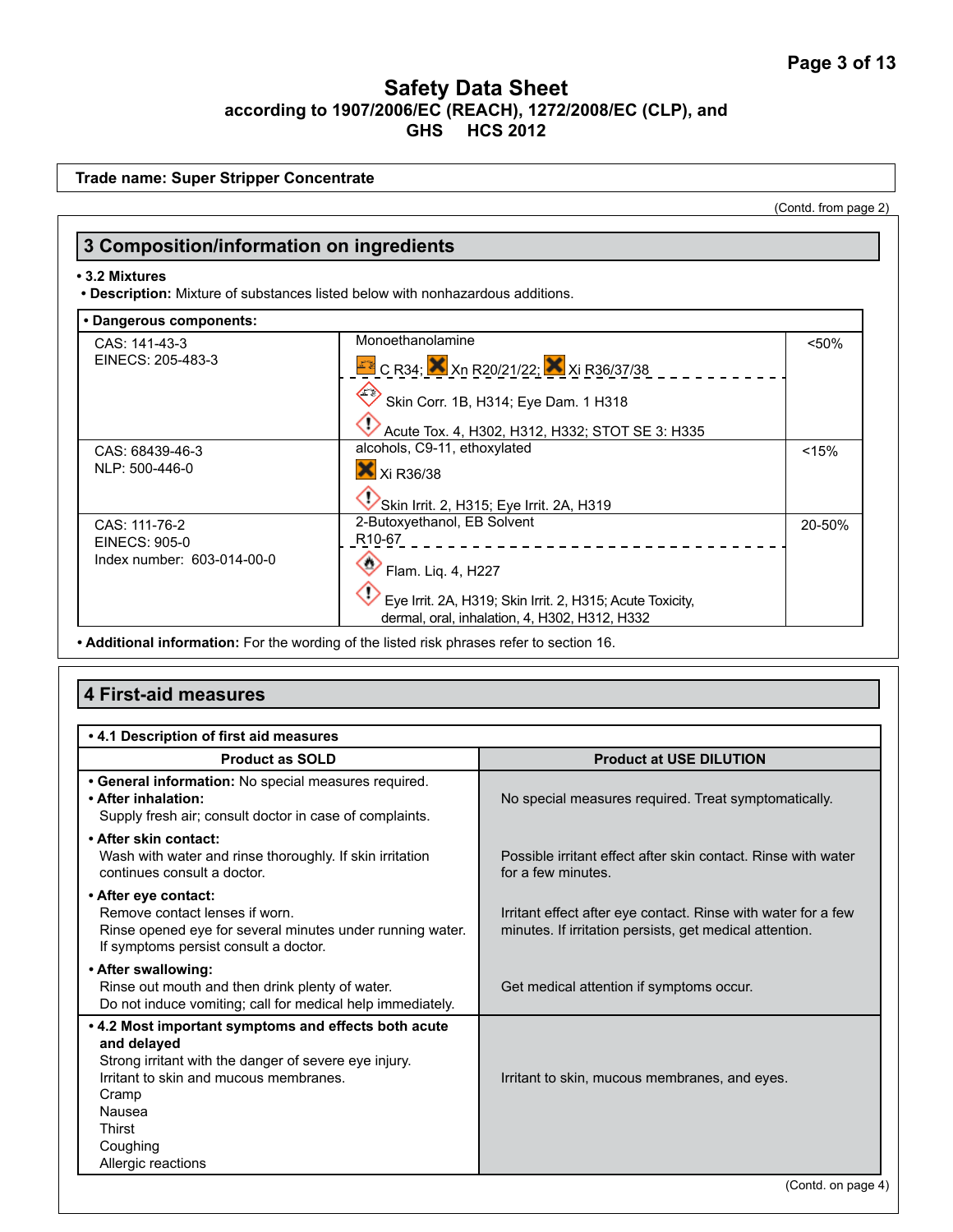|                                                              |                                                                                                                     | (Contd. from page 2) |
|--------------------------------------------------------------|---------------------------------------------------------------------------------------------------------------------|----------------------|
| 3 Composition/information on ingredients                     |                                                                                                                     |                      |
| • 3.2 Mixtures                                               | . Description: Mixture of substances listed below with nonhazardous additions.                                      |                      |
| • Dangerous components:                                      |                                                                                                                     |                      |
| CAS: 141-43-3<br>EINECS: 205-483-3                           | Monoethanolamine<br>$\frac{128}{10}$ C R34; $\frac{120}{2}$ Xn R20/21/22; $\frac{120}{2}$ Xi R36/37/38              | < 50%                |
|                                                              | Skin Corr. 1B, H314; Eye Dam. 1 H318<br>Acute Tox. 4, H302, H312, H332; STOT SE 3: H335                             |                      |
| CAS: 68439-46-3<br>NLP: 500-446-0                            | alcohols, C9-11, ethoxylated<br>X Xi R36/38                                                                         | < 15%                |
| CAS: 111-76-2<br>EINECS: 905-0<br>Index number: 603-014-00-0 | Skin Irrit. 2, H315; Eye Irrit. 2A, H319<br>2-Butoxyethanol, EB Solvent<br>R <sub>10-67</sub><br>Flam. Liq. 4, H227 | 20-50%               |
|                                                              | Eye Irrit. 2A, H319; Skin Irrit. 2, H315; Acute Toxicity,<br>dermal, oral, inhalation, 4, H302, H312, H332          |                      |

**• Additional information:** For the wording of the listed risk phrases refer to section 16.

# **4 First-aid measures**

| .4.1 Description of first aid measures                                                                                                                                                                                                |                                                                                                                          |
|---------------------------------------------------------------------------------------------------------------------------------------------------------------------------------------------------------------------------------------|--------------------------------------------------------------------------------------------------------------------------|
| <b>Product as SOLD</b>                                                                                                                                                                                                                | <b>Product at USE DILUTION</b>                                                                                           |
| • General information: No special measures required.<br>• After inhalation:<br>Supply fresh air; consult doctor in case of complaints.                                                                                                | No special measures required. Treat symptomatically.                                                                     |
| • After skin contact:<br>Wash with water and rinse thoroughly. If skin irritation<br>continues consult a doctor.                                                                                                                      | Possible irritant effect after skin contact. Rinse with water<br>for a few minutes.                                      |
| • After eye contact:<br>Remove contact lenses if worn.<br>Rinse opened eye for several minutes under running water.<br>If symptoms persist consult a doctor.                                                                          | Irritant effect after eye contact. Rinse with water for a few<br>minutes. If irritation persists, get medical attention. |
| • After swallowing:<br>Rinse out mouth and then drink plenty of water.<br>Do not induce vomiting; call for medical help immediately.                                                                                                  | Get medical attention if symptoms occur.                                                                                 |
| . 4.2 Most important symptoms and effects both acute<br>and delayed<br>Strong irritant with the danger of severe eye injury.<br>Irritant to skin and mucous membranes.<br>Cramp<br>Nausea<br>Thirst<br>Coughing<br>Allergic reactions | Irritant to skin, mucous membranes, and eyes.                                                                            |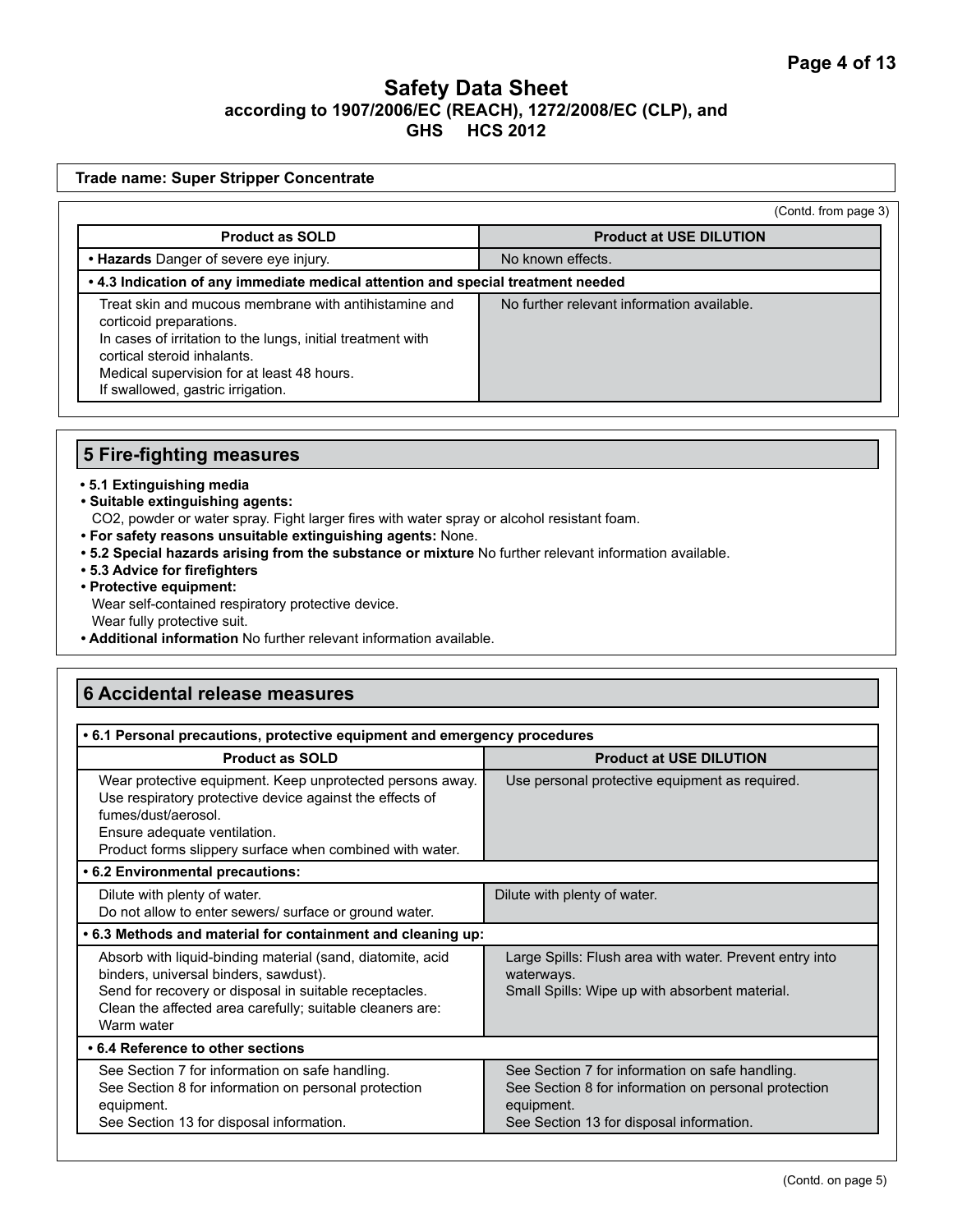|                                                                                                                                                                                                                                                                   | (Contd. from page 3)                       |  |
|-------------------------------------------------------------------------------------------------------------------------------------------------------------------------------------------------------------------------------------------------------------------|--------------------------------------------|--|
| <b>Product as SOLD</b>                                                                                                                                                                                                                                            | <b>Product at USE DILUTION</b>             |  |
| • Hazards Danger of severe eye injury.                                                                                                                                                                                                                            | No known effects.                          |  |
| . 4.3 Indication of any immediate medical attention and special treatment needed                                                                                                                                                                                  |                                            |  |
| Treat skin and mucous membrane with antihistamine and<br>corticoid preparations.<br>In cases of irritation to the lungs, initial treatment with<br>cortical steroid inhalants.<br>Medical supervision for at least 48 hours.<br>If swallowed, gastric irrigation. | No further relevant information available. |  |

### **5 Fire-fighting measures**

### **• 5.1 Extinguishing media**

**• Suitable extinguishing agents:** 

CO2, powder or water spray. Fight larger fires with water spray or alcohol resistant foam.

- **For safety reasons unsuitable extinguishing agents:** None.
- **5.2 Special hazards arising from the substance or mixture** No further relevant information available.
- **5.3 Advice for firefighters**
- **Protective equipment:** Wear self-contained respiratory protective device. Wear fully protective suit.
- **Additional information** No further relevant information available.

# **6 Accidental release measures**

| • 6.1 Personal precautions, protective equipment and emergency procedures                                                                                                                                                                |                                                                                                                                                                   |  |
|------------------------------------------------------------------------------------------------------------------------------------------------------------------------------------------------------------------------------------------|-------------------------------------------------------------------------------------------------------------------------------------------------------------------|--|
| <b>Product as SOLD</b>                                                                                                                                                                                                                   | <b>Product at USE DILUTION</b>                                                                                                                                    |  |
| Wear protective equipment. Keep unprotected persons away.<br>Use respiratory protective device against the effects of<br>fumes/dust/aerosol.<br>Ensure adequate ventilation.<br>Product forms slippery surface when combined with water. | Use personal protective equipment as required.                                                                                                                    |  |
| • 6.2 Environmental precautions:                                                                                                                                                                                                         |                                                                                                                                                                   |  |
| Dilute with plenty of water.<br>Do not allow to enter sewers/ surface or ground water.                                                                                                                                                   | Dilute with plenty of water.                                                                                                                                      |  |
| .6.3 Methods and material for containment and cleaning up:                                                                                                                                                                               |                                                                                                                                                                   |  |
| Absorb with liquid-binding material (sand, diatomite, acid<br>binders, universal binders, sawdust).<br>Send for recovery or disposal in suitable receptacles.<br>Clean the affected area carefully; suitable cleaners are:<br>Warm water | Large Spills: Flush area with water. Prevent entry into<br>waterways.<br>Small Spills: Wipe up with absorbent material.                                           |  |
| • 6.4 Reference to other sections                                                                                                                                                                                                        |                                                                                                                                                                   |  |
| See Section 7 for information on safe handling.<br>See Section 8 for information on personal protection<br>equipment.<br>See Section 13 for disposal information.                                                                        | See Section 7 for information on safe handling.<br>See Section 8 for information on personal protection<br>equipment.<br>See Section 13 for disposal information. |  |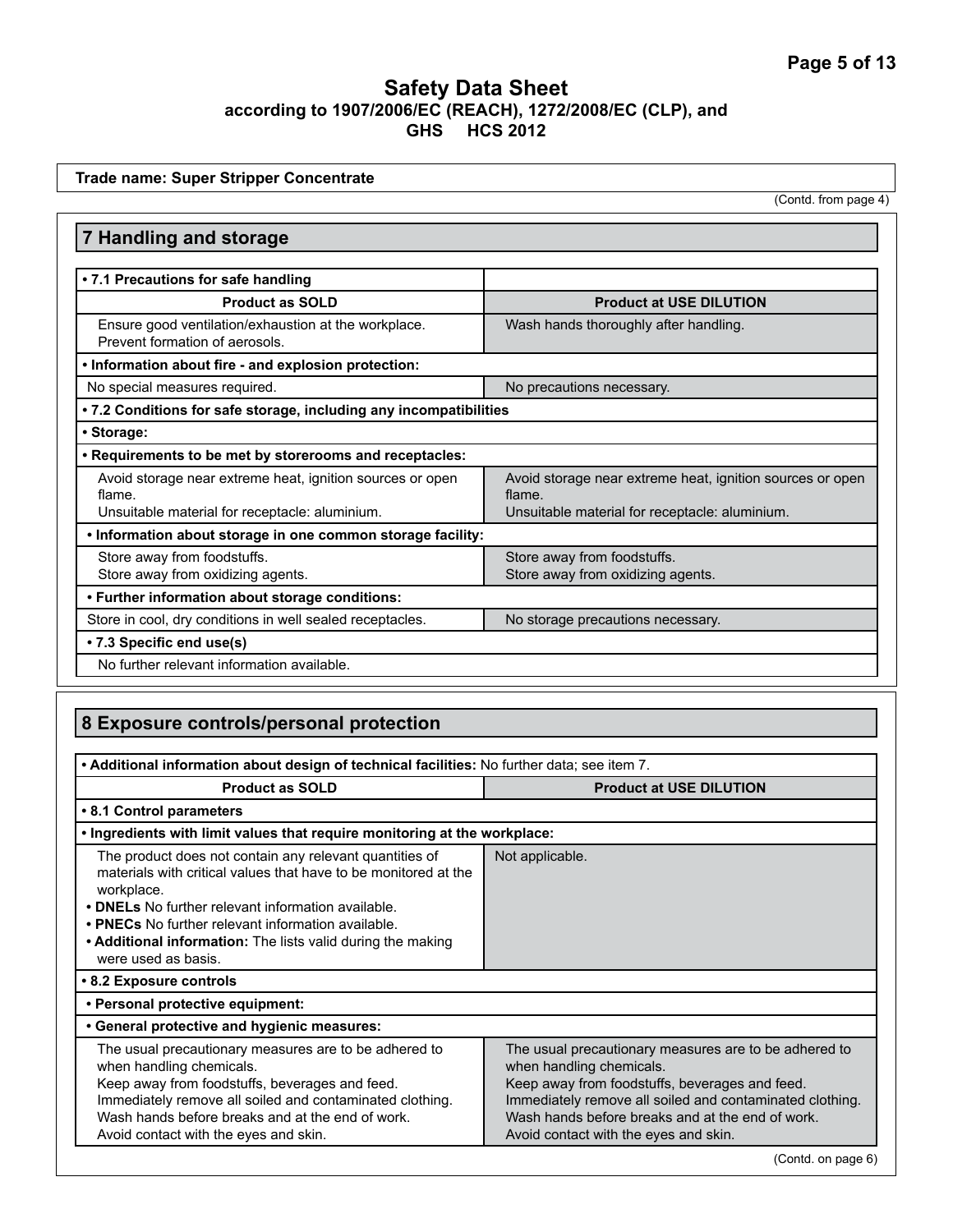**7 Handling and storage • 7.1 Precautions for safe handling Product as SOLD Product at USE DILUTION** Ensure good ventilation/exhaustion at the workplace. Prevent formation of aerosols. Wash hands thoroughly after handling. **• Information about fire - and explosion protection:** No special measures required. No precautions necessary. **• 7.2 Conditions for safe storage, including any incompatibilities • Storage: • Requirements to be met by storerooms and receptacles:** Avoid storage near extreme heat, ignition sources or open flame. Unsuitable material for receptacle: aluminium. Avoid storage near extreme heat, ignition sources or open flame. Unsuitable material for receptacle: aluminium. **• Information about storage in one common storage facility:** Store away from foodstuffs. Store away from oxidizing agents. Store away from foodstuffs. Store away from oxidizing agents. **• Further information about storage conditions:**  Store in cool, dry conditions in well sealed receptacles. No storage precautions necessary. **• 7.3 Specific end use(s)**  No further relevant information available. **Trade name: Super Stripper Concentrate** (Contd. from page 4)

# **8 Exposure controls/personal protection**

| . Additional information about design of technical facilities: No further data; see item 7.                                                                                                                                                                                                                                                |                                                                                                                                                                                                                                                                                              |  |
|--------------------------------------------------------------------------------------------------------------------------------------------------------------------------------------------------------------------------------------------------------------------------------------------------------------------------------------------|----------------------------------------------------------------------------------------------------------------------------------------------------------------------------------------------------------------------------------------------------------------------------------------------|--|
| <b>Product as SOLD</b><br><b>Product at USE DILUTION</b>                                                                                                                                                                                                                                                                                   |                                                                                                                                                                                                                                                                                              |  |
| • 8.1 Control parameters                                                                                                                                                                                                                                                                                                                   |                                                                                                                                                                                                                                                                                              |  |
| . Ingredients with limit values that require monitoring at the workplace:                                                                                                                                                                                                                                                                  |                                                                                                                                                                                                                                                                                              |  |
| The product does not contain any relevant quantities of<br>materials with critical values that have to be monitored at the<br>workplace.<br>• DNELs No further relevant information available.<br>• PNECs No further relevant information available.<br>• Additional information: The lists valid during the making<br>were used as basis. | Not applicable.                                                                                                                                                                                                                                                                              |  |
| • 8.2 Exposure controls                                                                                                                                                                                                                                                                                                                    |                                                                                                                                                                                                                                                                                              |  |
| • Personal protective equipment:                                                                                                                                                                                                                                                                                                           |                                                                                                                                                                                                                                                                                              |  |
| • General protective and hygienic measures:                                                                                                                                                                                                                                                                                                |                                                                                                                                                                                                                                                                                              |  |
| The usual precautionary measures are to be adhered to<br>when handling chemicals.<br>Keep away from foodstuffs, beverages and feed.<br>Immediately remove all soiled and contaminated clothing.<br>Wash hands before breaks and at the end of work.<br>Avoid contact with the eyes and skin.                                               | The usual precautionary measures are to be adhered to<br>when handling chemicals.<br>Keep away from foodstuffs, beverages and feed.<br>Immediately remove all soiled and contaminated clothing.<br>Wash hands before breaks and at the end of work.<br>Avoid contact with the eyes and skin. |  |

(Contd. on page 6)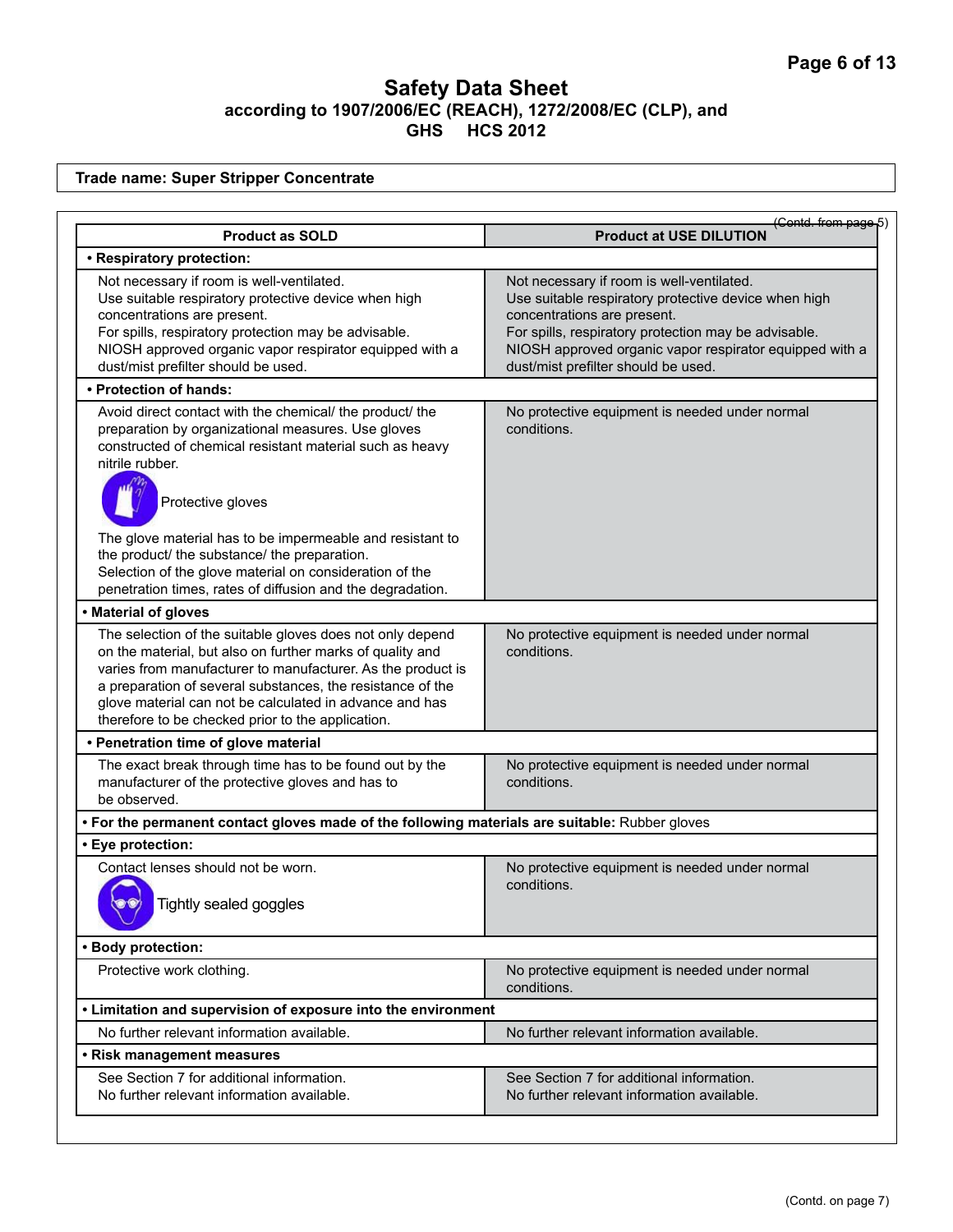**Trade name: Super Stripper Concentrate**

| <b>Product as SOLD</b>                                                                                                                                                                                                                                                                                                                                              | (Contd. from page 5<br><b>Product at USE DILUTION</b>                                                                                                                                                                                                                                      |
|---------------------------------------------------------------------------------------------------------------------------------------------------------------------------------------------------------------------------------------------------------------------------------------------------------------------------------------------------------------------|--------------------------------------------------------------------------------------------------------------------------------------------------------------------------------------------------------------------------------------------------------------------------------------------|
| • Respiratory protection:                                                                                                                                                                                                                                                                                                                                           |                                                                                                                                                                                                                                                                                            |
| Not necessary if room is well-ventilated.<br>Use suitable respiratory protective device when high<br>concentrations are present.<br>For spills, respiratory protection may be advisable.<br>NIOSH approved organic vapor respirator equipped with a<br>dust/mist prefilter should be used.                                                                          | Not necessary if room is well-ventilated.<br>Use suitable respiratory protective device when high<br>concentrations are present.<br>For spills, respiratory protection may be advisable.<br>NIOSH approved organic vapor respirator equipped with a<br>dust/mist prefilter should be used. |
| • Protection of hands:                                                                                                                                                                                                                                                                                                                                              |                                                                                                                                                                                                                                                                                            |
| Avoid direct contact with the chemical/ the product/ the<br>preparation by organizational measures. Use gloves<br>constructed of chemical resistant material such as heavy<br>nitrile rubber.<br>Protective gloves                                                                                                                                                  | No protective equipment is needed under normal<br>conditions.                                                                                                                                                                                                                              |
| The glove material has to be impermeable and resistant to<br>the product/ the substance/ the preparation.<br>Selection of the glove material on consideration of the<br>penetration times, rates of diffusion and the degradation.                                                                                                                                  |                                                                                                                                                                                                                                                                                            |
| • Material of gloves                                                                                                                                                                                                                                                                                                                                                |                                                                                                                                                                                                                                                                                            |
| The selection of the suitable gloves does not only depend<br>on the material, but also on further marks of quality and<br>varies from manufacturer to manufacturer. As the product is<br>a preparation of several substances, the resistance of the<br>glove material can not be calculated in advance and has<br>therefore to be checked prior to the application. | No protective equipment is needed under normal<br>conditions.                                                                                                                                                                                                                              |
| • Penetration time of glove material                                                                                                                                                                                                                                                                                                                                |                                                                                                                                                                                                                                                                                            |
| The exact break through time has to be found out by the<br>manufacturer of the protective gloves and has to<br>be observed.                                                                                                                                                                                                                                         | No protective equipment is needed under normal<br>conditions.                                                                                                                                                                                                                              |
| . For the permanent contact gloves made of the following materials are suitable: Rubber gloves                                                                                                                                                                                                                                                                      |                                                                                                                                                                                                                                                                                            |
| • Eye protection:                                                                                                                                                                                                                                                                                                                                                   |                                                                                                                                                                                                                                                                                            |
| Contact lenses should not be worn.<br>Tightly sealed goggles                                                                                                                                                                                                                                                                                                        | No protective equipment is needed under normal<br>conditions.                                                                                                                                                                                                                              |
| • Body protection:                                                                                                                                                                                                                                                                                                                                                  |                                                                                                                                                                                                                                                                                            |
| Protective work clothing.                                                                                                                                                                                                                                                                                                                                           | No protective equipment is needed under normal<br>conditions.                                                                                                                                                                                                                              |
| • Limitation and supervision of exposure into the environment                                                                                                                                                                                                                                                                                                       |                                                                                                                                                                                                                                                                                            |
| No further relevant information available.                                                                                                                                                                                                                                                                                                                          | No further relevant information available.                                                                                                                                                                                                                                                 |
| • Risk management measures                                                                                                                                                                                                                                                                                                                                          |                                                                                                                                                                                                                                                                                            |
| See Section 7 for additional information.<br>No further relevant information available.                                                                                                                                                                                                                                                                             | See Section 7 for additional information.<br>No further relevant information available.                                                                                                                                                                                                    |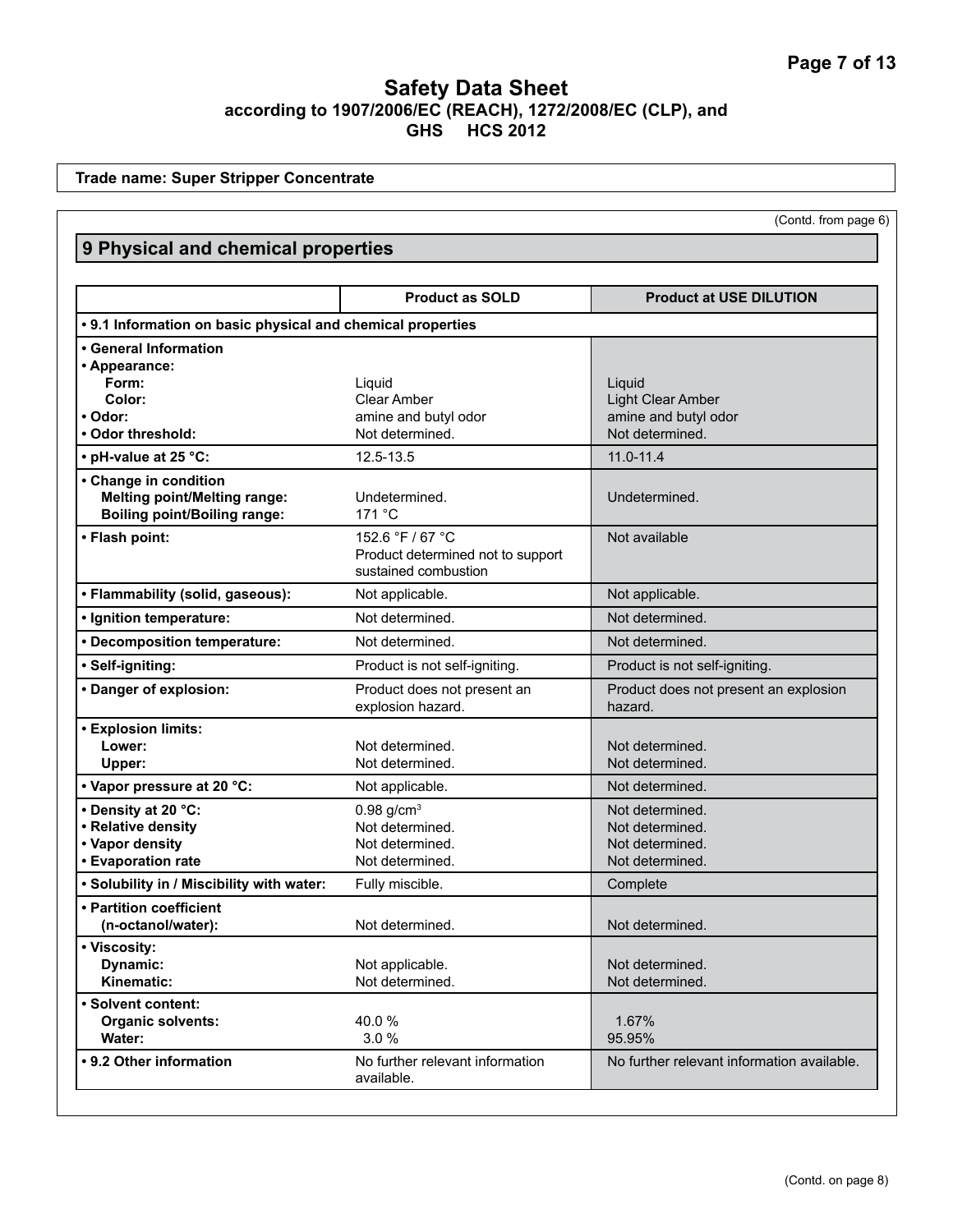**Trade name: Super Stripper Concentrate**

| (Contd. from page 6) |
|----------------------|
|----------------------|

| 9 Physical and chemical properties                          |                                   |                                            |
|-------------------------------------------------------------|-----------------------------------|--------------------------------------------|
|                                                             | <b>Product as SOLD</b>            | <b>Product at USE DILUTION</b>             |
| • 9.1 Information on basic physical and chemical properties |                                   |                                            |
| • General Information                                       |                                   |                                            |
| • Appearance:                                               |                                   |                                            |
| Form:                                                       | Liquid                            | Liquid                                     |
| Color:                                                      | <b>Clear Amber</b>                | Light Clear Amber                          |
| • Odor:                                                     | amine and butyl odor              | amine and butyl odor                       |
| • Odor threshold:                                           | Not determined.                   | Not determined.                            |
| • pH-value at 25 °C:                                        | 12.5-13.5                         | $11.0 - 11.4$                              |
| • Change in condition                                       |                                   |                                            |
| <b>Melting point/Melting range:</b>                         | Undetermined.                     | Undetermined.                              |
| <b>Boiling point/Boiling range:</b>                         | 171 $\degree$ C                   |                                            |
| • Flash point:                                              | 152.6 °F / 67 °C                  | Not available                              |
|                                                             | Product determined not to support |                                            |
|                                                             | sustained combustion              |                                            |
| • Flammability (solid, gaseous):                            | Not applicable.                   | Not applicable.                            |
| · Ignition temperature:                                     | Not determined.                   | Not determined.                            |
| • Decomposition temperature:                                | Not determined.                   | Not determined.                            |
| · Self-igniting:                                            | Product is not self-igniting.     | Product is not self-igniting.              |
| • Danger of explosion:                                      | Product does not present an       | Product does not present an explosion      |
|                                                             | explosion hazard.                 | hazard.                                    |
| <b>• Explosion limits:</b>                                  |                                   |                                            |
| Lower:                                                      | Not determined.                   | Not determined.                            |
| Upper:                                                      | Not determined.                   | Not determined.                            |
| • Vapor pressure at 20 °C:                                  | Not applicable.                   | Not determined.                            |
| • Density at 20 °C:                                         | $0.98$ g/cm <sup>3</sup>          | Not determined.                            |
| • Relative density                                          | Not determined.                   | Not determined.                            |
| • Vapor density                                             | Not determined.                   | Not determined.                            |
| • Evaporation rate                                          | Not determined.                   | Not determined.                            |
| . Solubility in / Miscibility with water:                   | Fully miscible.                   | Complete                                   |
| • Partition coefficient                                     |                                   |                                            |
| (n-octanol/water):                                          | Not determined.                   | Not determined.                            |
| • Viscosity:                                                |                                   |                                            |
| Dynamic:                                                    | Not applicable.                   | Not determined.                            |
| Kinematic:                                                  | Not determined.                   | Not determined.                            |
| • Solvent content:                                          |                                   |                                            |
| <b>Organic solvents:</b>                                    | 40.0%                             | 1.67%                                      |
| Water:                                                      | 3.0%                              | 95.95%                                     |
| • 9.2 Other information                                     | No further relevant information   | No further relevant information available. |
|                                                             | available.                        |                                            |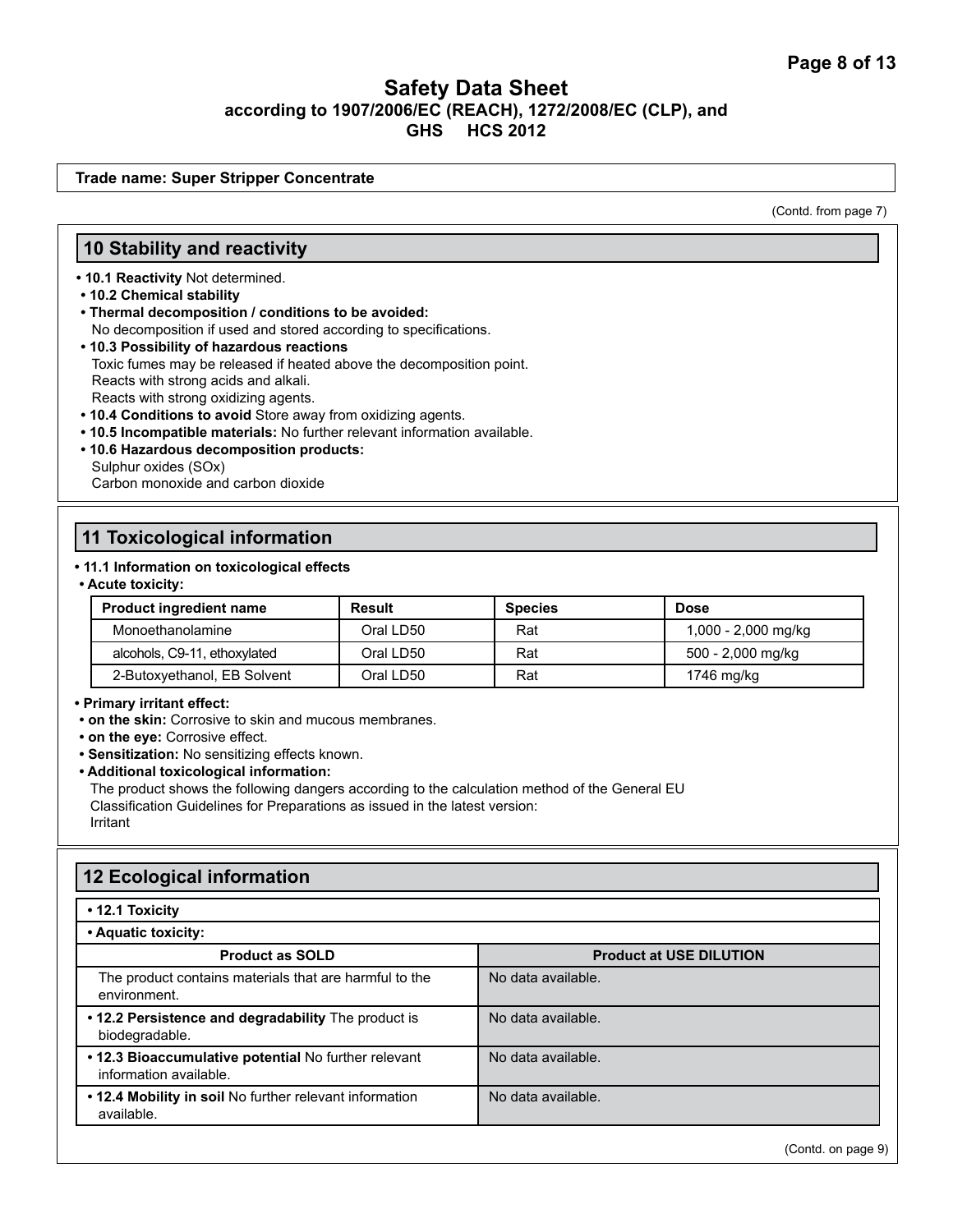**Trade name: Super Stripper Concentrate**

(Contd. from page 7)

### **10 Stability and reactivity**

**• 10.1 Reactivity** Not determined.

- **10.2 Chemical stability**
- **Thermal decomposition / conditions to be avoided:** No decomposition if used and stored according to specifications.
- **10.3 Possibility of hazardous reactions** Toxic fumes may be released if heated above the decomposition point. Reacts with strong acids and alkali. Reacts with strong oxidizing agents.
- **10.4 Conditions to avoid** Store away from oxidizing agents.
- **10.5 Incompatible materials:** No further relevant information available.
- **10.6 Hazardous decomposition products:**  Sulphur oxides (SOx) Carbon monoxide and carbon dioxide

# **11 Toxicological information**

### **• 11.1 Information on toxicological effects**

**• Acute toxicity:** 

| <b>Product ingredient name</b> | <b>Result</b> | <b>Species</b> | <b>Dose</b>         |
|--------------------------------|---------------|----------------|---------------------|
| Monoethanolamine               | Oral LD50     | Rat            | 1,000 - 2,000 mg/kg |
| alcohols, C9-11, ethoxylated   | Oral LD50     | Rat            | 500 - 2,000 mg/kg   |
| 2-Butoxyethanol, EB Solvent    | Oral LD50     | Rat            | 1746 mg/kg          |

### **• Primary irritant effect:**

**• on the skin:** Corrosive to skin and mucous membranes.

**• on the eye:** Corrosive effect.

**• Sensitization:** No sensitizing effects known.

**• Additional toxicological information:**

The product shows the following dangers according to the calculation method of the General EU Classification Guidelines for Preparations as issued in the latest version: Irritant

# **12 Ecological information**

#### **• 12.1 Toxicity**

| • Aquatic toxicity:                                                            |                                |
|--------------------------------------------------------------------------------|--------------------------------|
| <b>Product as SOLD</b>                                                         | <b>Product at USE DILUTION</b> |
| The product contains materials that are harmful to the<br>environment.         | No data available.             |
| • 12.2 Persistence and degradability The product is<br>biodegradable.          | No data available.             |
| . 12.3 Bioaccumulative potential No further relevant<br>information available. | No data available.             |
| . 12.4 Mobility in soil No further relevant information<br>available.          | No data available.             |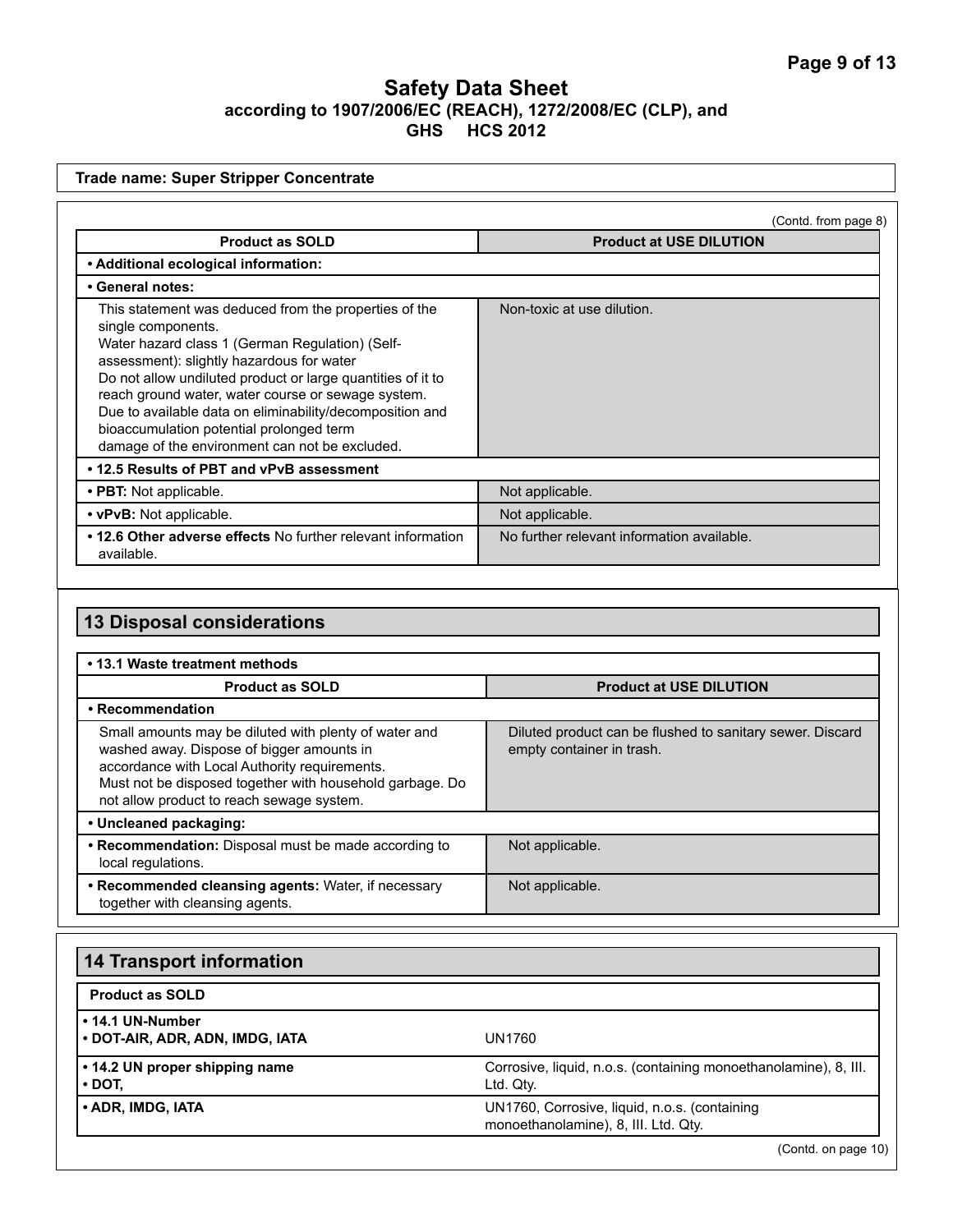|                                                                                                                                                                                                                                                                                                                                                                                                                                                            | (Contd. from page 8)                                                                   |
|------------------------------------------------------------------------------------------------------------------------------------------------------------------------------------------------------------------------------------------------------------------------------------------------------------------------------------------------------------------------------------------------------------------------------------------------------------|----------------------------------------------------------------------------------------|
| <b>Product as SOLD</b>                                                                                                                                                                                                                                                                                                                                                                                                                                     | <b>Product at USE DILUTION</b>                                                         |
| • Additional ecological information:                                                                                                                                                                                                                                                                                                                                                                                                                       |                                                                                        |
| • General notes:                                                                                                                                                                                                                                                                                                                                                                                                                                           |                                                                                        |
| This statement was deduced from the properties of the<br>single components.<br>Water hazard class 1 (German Regulation) (Self-<br>assessment): slightly hazardous for water<br>Do not allow undiluted product or large quantities of it to<br>reach ground water, water course or sewage system.<br>Due to available data on eliminability/decomposition and<br>bioaccumulation potential prolonged term<br>damage of the environment can not be excluded. | Non-toxic at use dilution.                                                             |
| . 12.5 Results of PBT and vPvB assessment                                                                                                                                                                                                                                                                                                                                                                                                                  |                                                                                        |
| • PBT: Not applicable.                                                                                                                                                                                                                                                                                                                                                                                                                                     | Not applicable.                                                                        |
| • vPvB: Not applicable.                                                                                                                                                                                                                                                                                                                                                                                                                                    | Not applicable.                                                                        |
| • 12.6 Other adverse effects No further relevant information<br>available.                                                                                                                                                                                                                                                                                                                                                                                 | No further relevant information available.                                             |
| <b>13 Disposal considerations</b><br>• 13.1 Waste treatment methods                                                                                                                                                                                                                                                                                                                                                                                        |                                                                                        |
| <b>Product as SOLD</b>                                                                                                                                                                                                                                                                                                                                                                                                                                     | <b>Product at USE DILUTION</b>                                                         |
| • Recommendation                                                                                                                                                                                                                                                                                                                                                                                                                                           |                                                                                        |
| Small amounts may be diluted with plenty of water and<br>washed away. Dispose of bigger amounts in<br>accordance with Local Authority requirements.<br>Must not be disposed together with household garbage. Do                                                                                                                                                                                                                                            | Diluted product can be flushed to sanitary sewer. Discard<br>empty container in trash. |
| not allow product to reach sewage system.<br>• Uncleaned packaging:                                                                                                                                                                                                                                                                                                                                                                                        |                                                                                        |
| <b>Becommondation:</b> Disposal must be made according to                                                                                                                                                                                                                                                                                                                                                                                                  | Not applicable                                                                         |

| • Recommendation: Disposal must be made according to<br>local regulations.             | Not applicable. |
|----------------------------------------------------------------------------------------|-----------------|
| • Recommended cleansing agents: Water, if necessary<br>together with cleansing agents. | Not applicable. |

| <b>14 Transport information</b>                     |                                                                                       |
|-----------------------------------------------------|---------------------------------------------------------------------------------------|
| <b>Product as SOLD</b>                              |                                                                                       |
| • 14.1 UN-Number<br>• DOT-AIR, ADR, ADN, IMDG, IATA | UN1760                                                                                |
| • 14.2 UN proper shipping name<br>$\cdot$ DOT,      | Corrosive, liquid, n.o.s. (containing monoethanolamine), 8, III.<br>Ltd. Qty.         |
| • ADR, IMDG, IATA                                   | UN1760, Corrosive, liquid, n.o.s. (containing<br>monoethanolamine), 8, III. Ltd. Qty. |

(Contd. on page 10)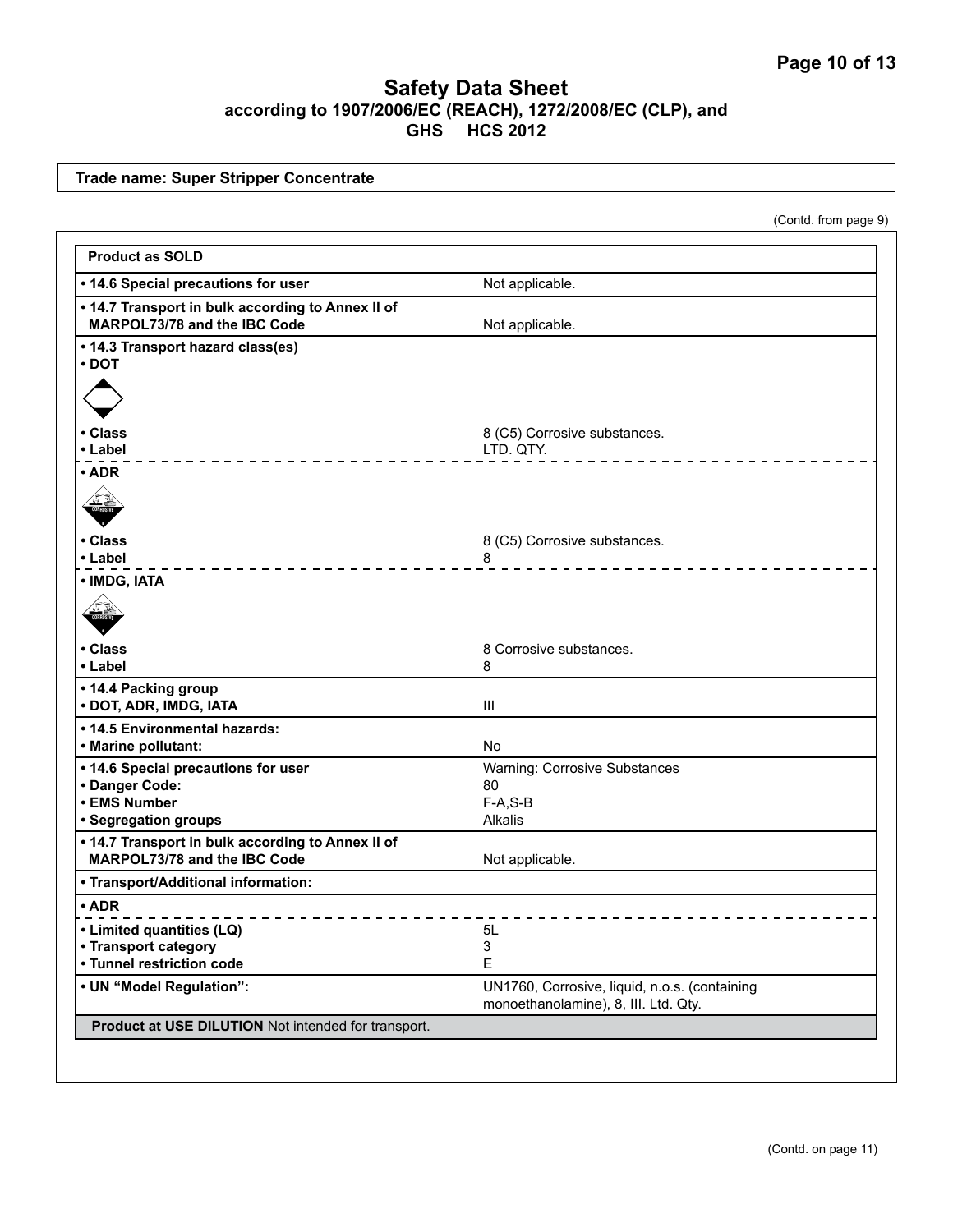**Trade name: Super Stripper Concentrate**

(Contd. from page 9)

| <b>Product as SOLD</b>                                                            |                                                                                       |
|-----------------------------------------------------------------------------------|---------------------------------------------------------------------------------------|
| • 14.6 Special precautions for user                                               | Not applicable.                                                                       |
| . 14.7 Transport in bulk according to Annex II of<br>MARPOL73/78 and the IBC Code | Not applicable.                                                                       |
| • 14.3 Transport hazard class(es)<br>$\cdot$ DOT                                  |                                                                                       |
| • Class                                                                           | 8 (C5) Corrosive substances.                                                          |
| • Label                                                                           | LTD. QTY.                                                                             |
| $\cdot$ ADR                                                                       |                                                                                       |
| • Class                                                                           | 8 (C5) Corrosive substances.                                                          |
| • Label<br>• IMDG, IATA                                                           | 8                                                                                     |
|                                                                                   |                                                                                       |
| • Class<br>• Label                                                                | 8 Corrosive substances.<br>8                                                          |
| • 14.4 Packing group<br>· DOT, ADR, IMDG, IATA                                    | $\mathbf{III}$                                                                        |
| • 14.5 Environmental hazards:<br>• Marine pollutant:                              | <b>No</b>                                                                             |
| • 14.6 Special precautions for user<br>• Danger Code:                             | <b>Warning: Corrosive Substances</b><br>80                                            |
| • EMS Number<br>· Segregation groups                                              | $F-A, S-B$<br>Alkalis                                                                 |
| . 14.7 Transport in bulk according to Annex II of<br>MARPOL73/78 and the IBC Code | Not applicable.                                                                       |
| • Transport/Additional information:                                               |                                                                                       |
| $\cdot$ ADR                                                                       |                                                                                       |
| • Limited quantities (LQ)                                                         | 5L                                                                                    |
| • Transport category                                                              | 3                                                                                     |
| • Tunnel restriction code                                                         | E                                                                                     |
| • UN "Model Regulation":                                                          | UN1760, Corrosive, liquid, n.o.s. (containing<br>monoethanolamine), 8, III. Ltd. Qty. |
| Product at USE DILUTION Not intended for transport.                               |                                                                                       |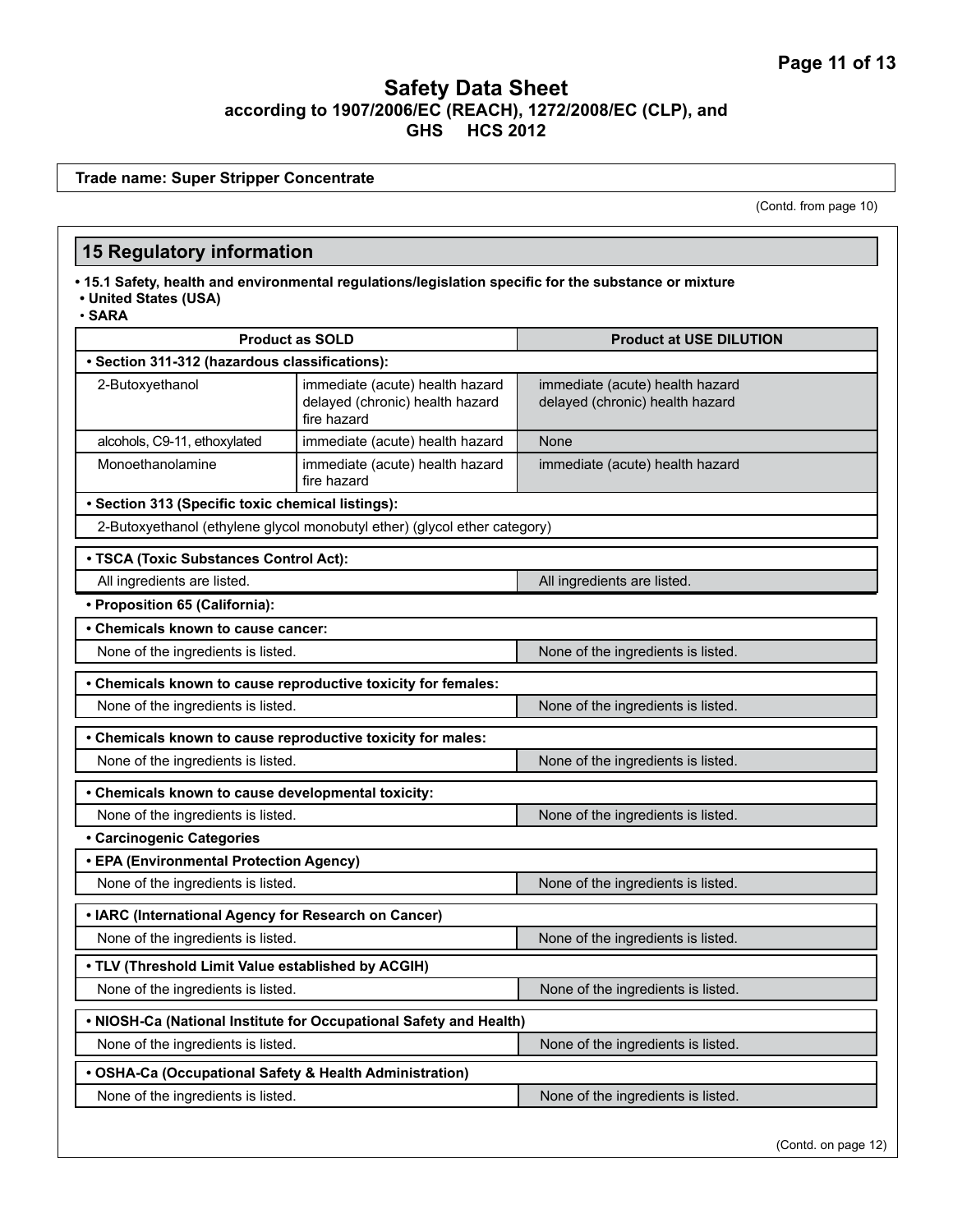**Trade name: Super Stripper Concentrate**

(Contd. from page 10)

## **15 Regulatory information**

**• 15.1 Safety, health and environmental regulations/legislation specific for the substance or mixture • United States (USA)**

• **SARA**

| <b>Product as SOLD</b>                                                   |                                                                                   | <b>Product at USE DILUTION</b>                                     |  |
|--------------------------------------------------------------------------|-----------------------------------------------------------------------------------|--------------------------------------------------------------------|--|
| · Section 311-312 (hazardous classifications):                           |                                                                                   |                                                                    |  |
| 2-Butoxyethanol                                                          | immediate (acute) health hazard<br>delayed (chronic) health hazard<br>fire hazard | immediate (acute) health hazard<br>delayed (chronic) health hazard |  |
| alcohols, C9-11, ethoxylated                                             | immediate (acute) health hazard                                                   | None                                                               |  |
| Monoethanolamine                                                         | immediate (acute) health hazard<br>fire hazard                                    | immediate (acute) health hazard                                    |  |
| • Section 313 (Specific toxic chemical listings):                        |                                                                                   |                                                                    |  |
|                                                                          | 2-Butoxyethanol (ethylene glycol monobutyl ether) (glycol ether category)         |                                                                    |  |
| • TSCA (Toxic Substances Control Act):                                   |                                                                                   |                                                                    |  |
| All ingredients are listed.                                              |                                                                                   | All ingredients are listed.                                        |  |
| • Proposition 65 (California):                                           |                                                                                   |                                                                    |  |
| • Chemicals known to cause cancer:                                       |                                                                                   |                                                                    |  |
| None of the ingredients is listed.                                       |                                                                                   | None of the ingredients is listed.                                 |  |
| • Chemicals known to cause reproductive toxicity for females:            |                                                                                   |                                                                    |  |
| None of the ingredients is listed.                                       |                                                                                   | None of the ingredients is listed.                                 |  |
| • Chemicals known to cause reproductive toxicity for males:              |                                                                                   |                                                                    |  |
| None of the ingredients is listed.                                       |                                                                                   | None of the ingredients is listed.                                 |  |
| • Chemicals known to cause developmental toxicity:                       |                                                                                   |                                                                    |  |
| None of the ingredients is listed.                                       |                                                                                   | None of the ingredients is listed.                                 |  |
| · Carcinogenic Categories                                                |                                                                                   |                                                                    |  |
| • EPA (Environmental Protection Agency)                                  |                                                                                   |                                                                    |  |
| None of the ingredients is listed.                                       |                                                                                   | None of the ingredients is listed.                                 |  |
| • IARC (International Agency for Research on Cancer)                     |                                                                                   |                                                                    |  |
| None of the ingredients is listed.                                       |                                                                                   | None of the ingredients is listed.                                 |  |
| . TLV (Threshold Limit Value established by ACGIH)                       |                                                                                   |                                                                    |  |
| None of the ingredients is listed.<br>None of the ingredients is listed. |                                                                                   |                                                                    |  |
|                                                                          | . NIOSH-Ca (National Institute for Occupational Safety and Health)                |                                                                    |  |
| None of the ingredients is listed.                                       |                                                                                   | None of the ingredients is listed.                                 |  |
| • OSHA-Ca (Occupational Safety & Health Administration)                  |                                                                                   |                                                                    |  |
| None of the ingredients is listed.                                       |                                                                                   | None of the ingredients is listed.                                 |  |

(Contd. on page 12)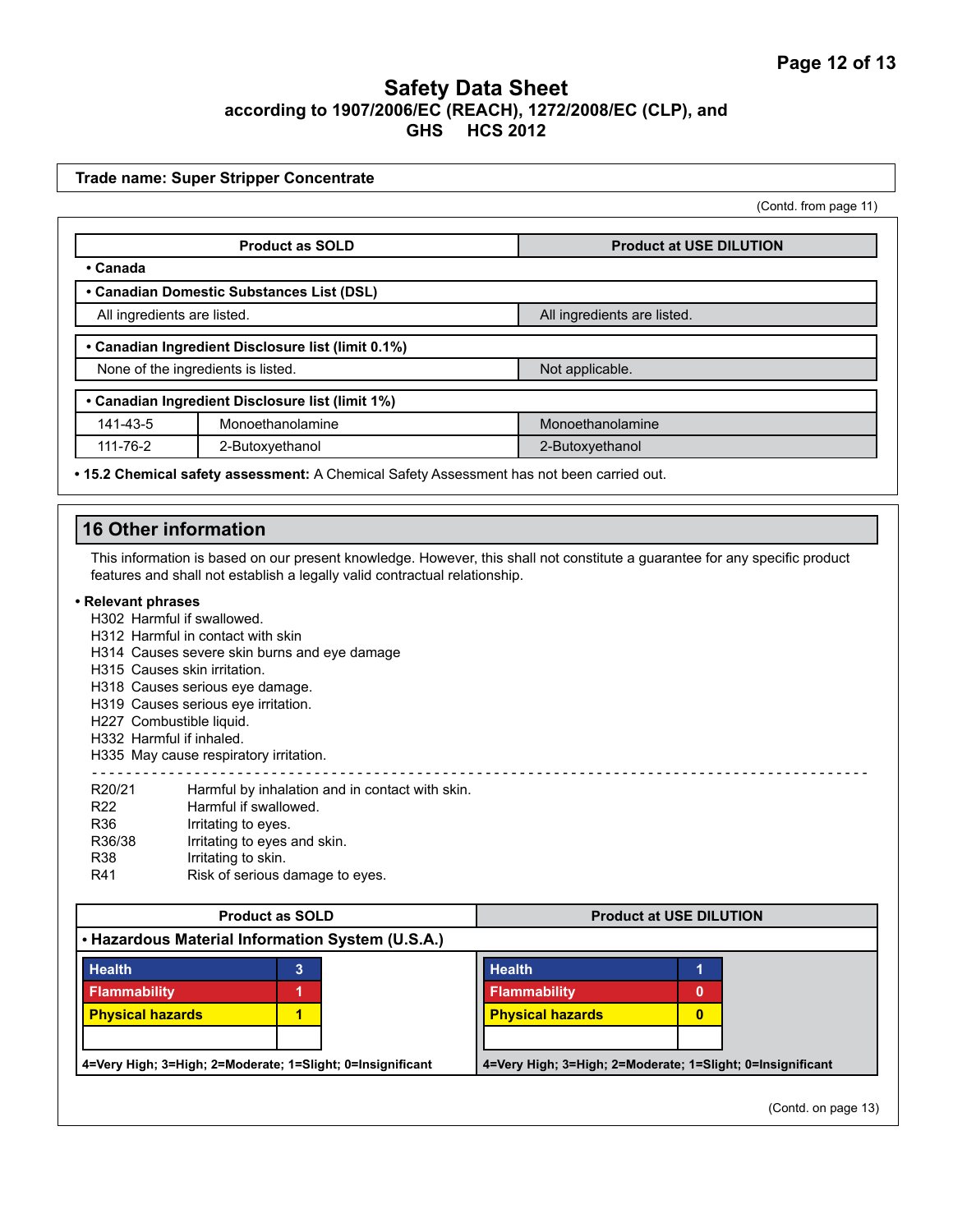|                                                | <b>Trade name: Super Stripper Concentrate</b>                                                                                                                                                                                                                                                                               |                                |
|------------------------------------------------|-----------------------------------------------------------------------------------------------------------------------------------------------------------------------------------------------------------------------------------------------------------------------------------------------------------------------------|--------------------------------|
|                                                |                                                                                                                                                                                                                                                                                                                             | (Contd. from page 11)          |
|                                                | <b>Product as SOLD</b>                                                                                                                                                                                                                                                                                                      | <b>Product at USE DILUTION</b> |
| • Canada                                       |                                                                                                                                                                                                                                                                                                                             |                                |
|                                                | • Canadian Domestic Substances List (DSL)                                                                                                                                                                                                                                                                                   |                                |
|                                                | All ingredients are listed.                                                                                                                                                                                                                                                                                                 | All ingredients are listed.    |
|                                                | • Canadian Ingredient Disclosure list (limit 0.1%)                                                                                                                                                                                                                                                                          |                                |
|                                                | None of the ingredients is listed.                                                                                                                                                                                                                                                                                          | Not applicable.                |
|                                                | • Canadian Ingredient Disclosure list (limit 1%)                                                                                                                                                                                                                                                                            |                                |
| 141-43-5                                       | Monoethanolamine                                                                                                                                                                                                                                                                                                            | Monoethanolamine               |
| 111-76-2                                       | 2-Butoxyethanol                                                                                                                                                                                                                                                                                                             | 2-Butoxyethanol                |
|                                                | . 15.2 Chemical safety assessment: A Chemical Safety Assessment has not been carried out.                                                                                                                                                                                                                                   |                                |
|                                                | <b>16 Other information</b>                                                                                                                                                                                                                                                                                                 |                                |
|                                                | H302 Harmful if swallowed.<br>H312 Harmful in contact with skin<br>H314 Causes severe skin burns and eye damage<br>H315 Causes skin irritation.<br>H318 Causes serious eye damage.<br>H319 Causes serious eye irritation.<br>H227 Combustible liquid.<br>H332 Harmful if inhaled.<br>H335 May cause respiratory irritation. |                                |
| R20/21                                         |                                                                                                                                                                                                                                                                                                                             |                                |
| R <sub>22</sub><br>R36<br>R36/38<br>R38<br>R41 | Harmful by inhalation and in contact with skin.<br>Harmful if swallowed.<br>Irritating to eyes.<br>Irritating to eyes and skin.<br>Irritating to skin.<br>Risk of serious damage to eyes.                                                                                                                                   |                                |
|                                                | <b>Product as SOLD</b>                                                                                                                                                                                                                                                                                                      | <b>Product at USE DILUTION</b> |
|                                                | • Hazardous Material Information System (U.S.A.)                                                                                                                                                                                                                                                                            |                                |

(Contd. on page 13)